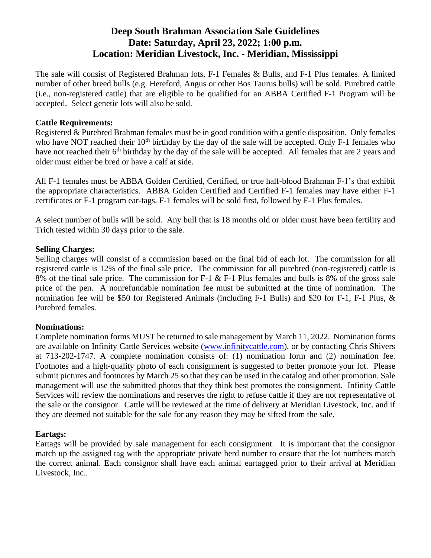# **Deep South Brahman Association Sale Guidelines Date: Saturday, April 23, 2022; 1:00 p.m. Location: Meridian Livestock, Inc. - Meridian, Mississippi**

The sale will consist of Registered Brahman lots, F-1 Females & Bulls, and F-1 Plus females. A limited number of other breed bulls (e.g. Hereford, Angus or other Bos Taurus bulls) will be sold. Purebred cattle (i.e., non-registered cattle) that are eligible to be qualified for an ABBA Certified F-1 Program will be accepted. Select genetic lots will also be sold.

#### **Cattle Requirements:**

Registered & Purebred Brahman females must be in good condition with a gentle disposition. Only females who have NOT reached their  $10<sup>th</sup>$  birthday by the day of the sale will be accepted. Only F-1 females who have not reached their 6<sup>th</sup> birthday by the day of the sale will be accepted. All females that are 2 years and older must either be bred or have a calf at side.

All F-1 females must be ABBA Golden Certified, Certified, or true half-blood Brahman F-1's that exhibit the appropriate characteristics. ABBA Golden Certified and Certified F-1 females may have either F-1 certificates or F-1 program ear-tags. F-1 females will be sold first, followed by F-1 Plus females.

A select number of bulls will be sold. Any bull that is 18 months old or older must have been fertility and Trich tested within 30 days prior to the sale.

# **Selling Charges:**

Selling charges will consist of a commission based on the final bid of each lot. The commission for all registered cattle is 12% of the final sale price. The commission for all purebred (non-registered) cattle is 8% of the final sale price. The commission for F-1 & F-1 Plus females and bulls is 8% of the gross sale price of the pen. A nonrefundable nomination fee must be submitted at the time of nomination. The nomination fee will be \$50 for Registered Animals (including F-1 Bulls) and \$20 for F-1, F-1 Plus, & Purebred females.

# **Nominations:**

Complete nomination forms MUST be returned to sale management by March 11, 2022. Nomination forms are available on Infinity Cattle Services website [\(www.infinitycattle.com\)](http://www.infinitycattle.com/), or by contacting Chris Shivers at 713-202-1747. A complete nomination consists of: (1) nomination form and (2) nomination fee. Footnotes and a high-quality photo of each consignment is suggested to better promote your lot. Please submit pictures and footnotes by March 25 so that they can be used in the catalog and other promotion. Sale management will use the submitted photos that they think best promotes the consignment. Infinity Cattle Services will review the nominations and reserves the right to refuse cattle if they are not representative of the sale or the consignor. Cattle will be reviewed at the time of delivery at Meridian Livestock, Inc. and if they are deemed not suitable for the sale for any reason they may be sifted from the sale.

#### **Eartags:**

Eartags will be provided by sale management for each consignment. It is important that the consignor match up the assigned tag with the appropriate private herd number to ensure that the lot numbers match the correct animal. Each consignor shall have each animal eartagged prior to their arrival at Meridian Livestock, Inc..